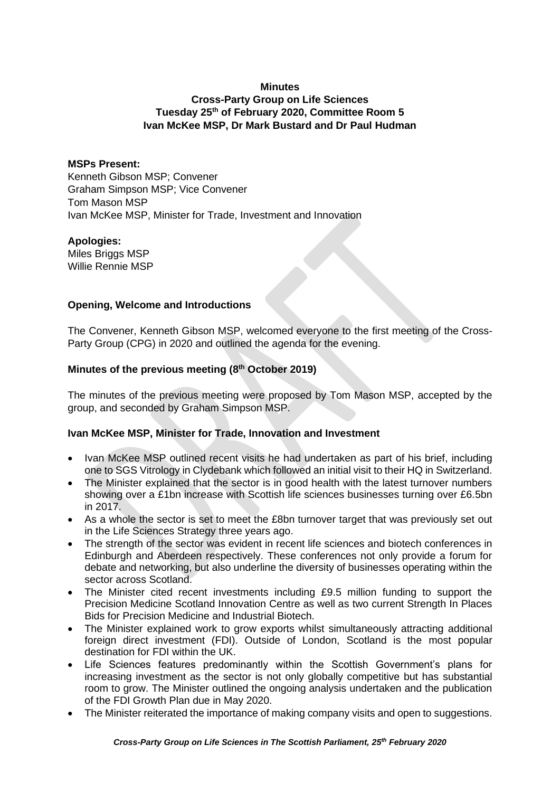### **Minutes**

# **Cross-Party Group on Life Sciences Tuesday 25th of February 2020, Committee Room 5 Ivan McKee MSP, Dr Mark Bustard and Dr Paul Hudman**

### **MSPs Present:**

Kenneth Gibson MSP; Convener Graham Simpson MSP; Vice Convener Tom Mason MSP Ivan McKee MSP, Minister for Trade, Investment and Innovation

#### **Apologies:**

Miles Briggs MSP Willie Rennie MSP

## **Opening, Welcome and Introductions**

The Convener, Kenneth Gibson MSP, welcomed everyone to the first meeting of the Cross-Party Group (CPG) in 2020 and outlined the agenda for the evening.

## **Minutes of the previous meeting (8 th October 2019)**

The minutes of the previous meeting were proposed by Tom Mason MSP, accepted by the group, and seconded by Graham Simpson MSP.

## **Ivan McKee MSP, Minister for Trade, Innovation and Investment**

- Ivan McKee MSP outlined recent visits he had undertaken as part of his brief, including one to SGS Vitrology in Clydebank which followed an initial visit to their HQ in Switzerland.
- The Minister explained that the sector is in good health with the latest turnover numbers showing over a £1bn increase with Scottish life sciences businesses turning over £6.5bn in 2017.
- As a whole the sector is set to meet the £8bn turnover target that was previously set out in the Life Sciences Strategy three years ago.
- The strength of the sector was evident in recent life sciences and biotech conferences in Edinburgh and Aberdeen respectively. These conferences not only provide a forum for debate and networking, but also underline the diversity of businesses operating within the sector across Scotland.
- The Minister cited recent investments including £9.5 million funding to support the Precision Medicine Scotland Innovation Centre as well as two current Strength In Places Bids for Precision Medicine and Industrial Biotech.
- The Minister explained work to grow exports whilst simultaneously attracting additional foreign direct investment (FDI). Outside of London, Scotland is the most popular destination for FDI within the UK.
- Life Sciences features predominantly within the Scottish Government's plans for increasing investment as the sector is not only globally competitive but has substantial room to grow. The Minister outlined the ongoing analysis undertaken and the publication of the FDI Growth Plan due in May 2020.
- The Minister reiterated the importance of making company visits and open to suggestions.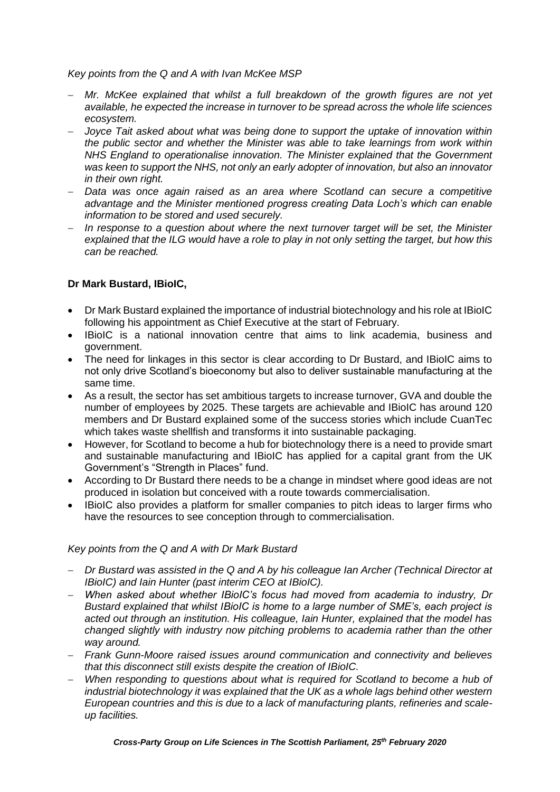*Key points from the Q and A with Ivan McKee MSP*

- − *Mr. McKee explained that whilst a full breakdown of the growth figures are not yet available, he expected the increase in turnover to be spread across the whole life sciences ecosystem.*
- − *Joyce Tait asked about what was being done to support the uptake of innovation within the public sector and whether the Minister was able to take learnings from work within NHS England to operationalise innovation. The Minister explained that the Government was keen to support the NHS, not only an early adopter of innovation, but also an innovator in their own right.*
- − *Data was once again raised as an area where Scotland can secure a competitive advantage and the Minister mentioned progress creating Data Loch's which can enable information to be stored and used securely.*
- − *In response to a question about where the next turnover target will be set, the Minister explained that the ILG would have a role to play in not only setting the target, but how this can be reached.*

## **Dr Mark Bustard, IBioIC,**

- Dr Mark Bustard explained the importance of industrial biotechnology and his role at IBioIC following his appointment as Chief Executive at the start of February.
- IBioIC is a national innovation centre that aims to link academia, business and government.
- The need for linkages in this sector is clear according to Dr Bustard, and IBioIC aims to not only drive Scotland's bioeconomy but also to deliver sustainable manufacturing at the same time.
- As a result, the sector has set ambitious targets to increase turnover, GVA and double the number of employees by 2025. These targets are achievable and IBioIC has around 120 members and Dr Bustard explained some of the success stories which include CuanTec which takes waste shellfish and transforms it into sustainable packaging.
- However, for Scotland to become a hub for biotechnology there is a need to provide smart and sustainable manufacturing and IBioIC has applied for a capital grant from the UK Government's "Strength in Places" fund.
- According to Dr Bustard there needs to be a change in mindset where good ideas are not produced in isolation but conceived with a route towards commercialisation.
- IBioIC also provides a platform for smaller companies to pitch ideas to larger firms who have the resources to see conception through to commercialisation.

## *Key points from the Q and A with Dr Mark Bustard*

- − *Dr Bustard was assisted in the Q and A by his colleague Ian Archer (Technical Director at IBioIC) and Iain Hunter (past interim CEO at IBioIC).*
- − *When asked about whether IBioIC's focus had moved from academia to industry, Dr Bustard explained that whilst IBioIC is home to a large number of SME's, each project is acted out through an institution. His colleague, Iain Hunter, explained that the model has changed slightly with industry now pitching problems to academia rather than the other way around.*
- − *Frank Gunn-Moore raised issues around communication and connectivity and believes that this disconnect still exists despite the creation of IBioIC.*
- − *When responding to questions about what is required for Scotland to become a hub of industrial biotechnology it was explained that the UK as a whole lags behind other western European countries and this is due to a lack of manufacturing plants, refineries and scaleup facilities.*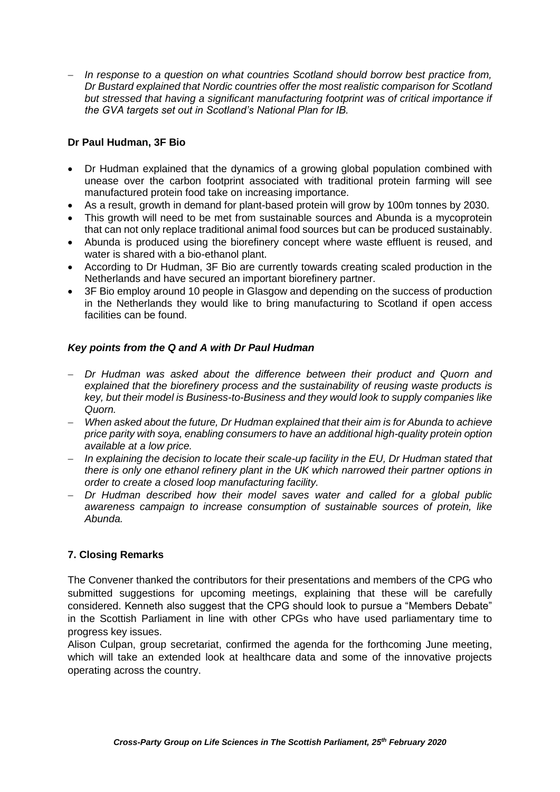− *In response to a question on what countries Scotland should borrow best practice from, Dr Bustard explained that Nordic countries offer the most realistic comparison for Scotland but stressed that having a significant manufacturing footprint was of critical importance if the GVA targets set out in Scotland's National Plan for IB.*

## **Dr Paul Hudman, 3F Bio**

- Dr Hudman explained that the dynamics of a growing global population combined with unease over the carbon footprint associated with traditional protein farming will see manufactured protein food take on increasing importance.
- As a result, growth in demand for plant-based protein will grow by 100m tonnes by 2030.
- This growth will need to be met from sustainable sources and Abunda is a mycoprotein that can not only replace traditional animal food sources but can be produced sustainably.
- Abunda is produced using the biorefinery concept where waste effluent is reused, and water is shared with a bio-ethanol plant.
- According to Dr Hudman, 3F Bio are currently towards creating scaled production in the Netherlands and have secured an important biorefinery partner.
- 3F Bio employ around 10 people in Glasgow and depending on the success of production in the Netherlands they would like to bring manufacturing to Scotland if open access facilities can be found.

## *Key points from the Q and A with Dr Paul Hudman*

- − *Dr Hudman was asked about the difference between their product and Quorn and explained that the biorefinery process and the sustainability of reusing waste products is key, but their model is Business-to-Business and they would look to supply companies like Quorn.*
- − *When asked about the future, Dr Hudman explained that their aim is for Abunda to achieve price parity with soya, enabling consumers to have an additional high-quality protein option available at a low price.*
- − *In explaining the decision to locate their scale-up facility in the EU, Dr Hudman stated that there is only one ethanol refinery plant in the UK which narrowed their partner options in order to create a closed loop manufacturing facility.*
- − *Dr Hudman described how their model saves water and called for a global public awareness campaign to increase consumption of sustainable sources of protein, like Abunda.*

## **7. Closing Remarks**

The Convener thanked the contributors for their presentations and members of the CPG who submitted suggestions for upcoming meetings, explaining that these will be carefully considered. Kenneth also suggest that the CPG should look to pursue a "Members Debate" in the Scottish Parliament in line with other CPGs who have used parliamentary time to progress key issues.

Alison Culpan, group secretariat, confirmed the agenda for the forthcoming June meeting, which will take an extended look at healthcare data and some of the innovative projects operating across the country.